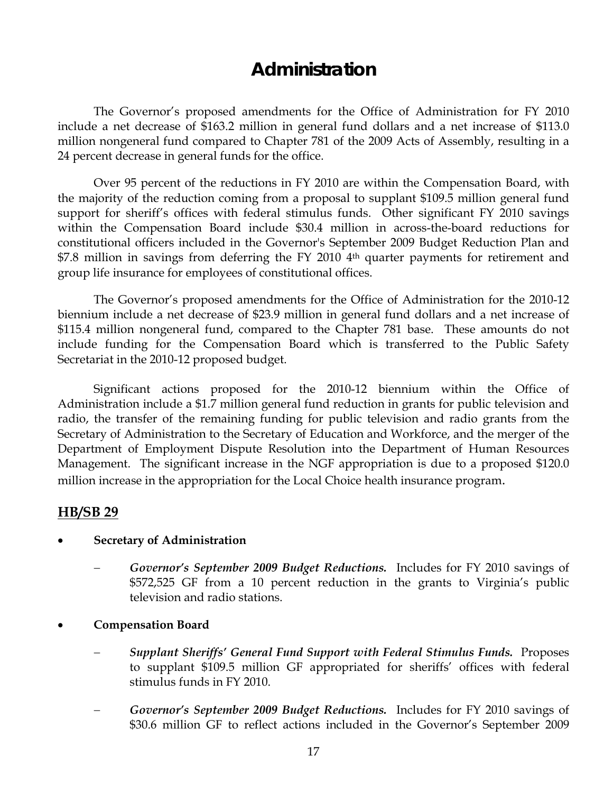# **Administration**

 The Governor's proposed amendments for the Office of Administration for FY 2010 include a net decrease of \$163.2 million in general fund dollars and a net increase of \$113.0 million nongeneral fund compared to Chapter 781 of the 2009 Acts of Assembly, resulting in a 24 percent decrease in general funds for the office.

 Over 95 percent of the reductions in FY 2010 are within the Compensation Board, with the majority of the reduction coming from a proposal to supplant \$109.5 million general fund support for sheriff's offices with federal stimulus funds. Other significant FY 2010 savings within the Compensation Board include \$30.4 million in across-the-board reductions for constitutional officers included in the Governor's September 2009 Budget Reduction Plan and \$7.8 million in savings from deferring the FY 2010 4<sup>th</sup> quarter payments for retirement and group life insurance for employees of constitutional offices.

The Governor's proposed amendments for the Office of Administration for the 2010-12 biennium include a net decrease of \$23.9 million in general fund dollars and a net increase of \$115.4 million nongeneral fund, compared to the Chapter 781 base. These amounts do not include funding for the Compensation Board which is transferred to the Public Safety Secretariat in the 2010-12 proposed budget.

Significant actions proposed for the 2010-12 biennium within the Office of Administration include a \$1.7 million general fund reduction in grants for public television and radio, the transfer of the remaining funding for public television and radio grants from the Secretary of Administration to the Secretary of Education and Workforce, and the merger of the Department of Employment Dispute Resolution into the Department of Human Resources Management. The significant increase in the NGF appropriation is due to a proposed \$120.0 million increase in the appropriation for the Local Choice health insurance program.

## **HB/SB 29**

#### • **Secretary of Administration**

- − *Governor's September 2009 Budget Reductions.* Includes for FY 2010 savings of \$572,525 GF from a 10 percent reduction in the grants to Virginia's public television and radio stations.
- **Compensation Board** 
	- − *Supplant Sheriffs' General Fund Support with Federal Stimulus Funds.* Proposes to supplant \$109.5 million GF appropriated for sheriffs' offices with federal stimulus funds in FY 2010.
	- − *Governor's September 2009 Budget Reductions.* Includes for FY 2010 savings of \$30.6 million GF to reflect actions included in the Governor's September 2009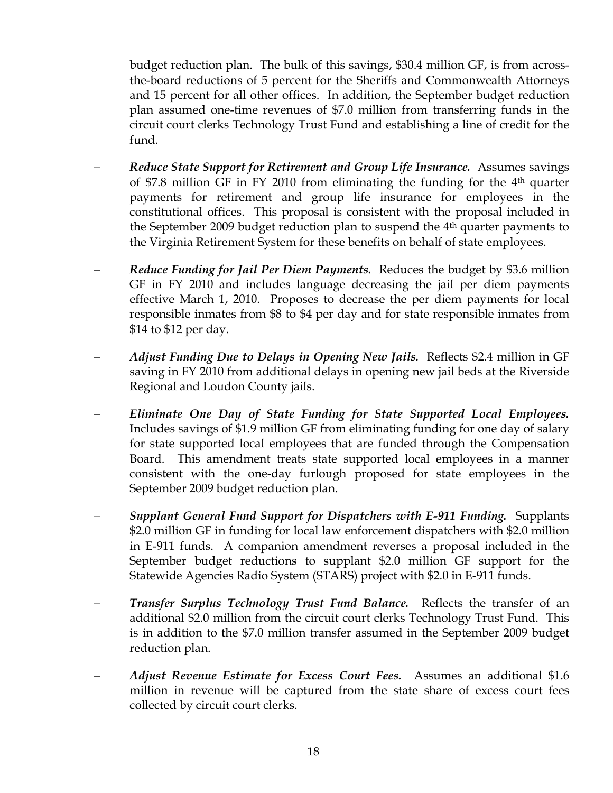budget reduction plan. The bulk of this savings, \$30.4 million GF, is from acrossthe-board reductions of 5 percent for the Sheriffs and Commonwealth Attorneys and 15 percent for all other offices. In addition, the September budget reduction plan assumed one-time revenues of \$7.0 million from transferring funds in the circuit court clerks Technology Trust Fund and establishing a line of credit for the fund.

- − *Reduce State Support for Retirement and Group Life Insurance.* Assumes savings of \$7.8 million GF in FY 2010 from eliminating the funding for the  $4<sup>th</sup>$  quarter payments for retirement and group life insurance for employees in the constitutional offices. This proposal is consistent with the proposal included in the September 2009 budget reduction plan to suspend the 4th quarter payments to the Virginia Retirement System for these benefits on behalf of state employees.
- *Reduce Funding for Jail Per Diem Payments.* Reduces the budget by \$3.6 million GF in FY 2010 and includes language decreasing the jail per diem payments effective March 1, 2010. Proposes to decrease the per diem payments for local responsible inmates from \$8 to \$4 per day and for state responsible inmates from \$14 to \$12 per day.
- − *Adjust Funding Due to Delays in Opening New Jails.* Reflects \$2.4 million in GF saving in FY 2010 from additional delays in opening new jail beds at the Riverside Regional and Loudon County jails.
- − *Eliminate One Day of State Funding for State Supported Local Employees.*  Includes savings of \$1.9 million GF from eliminating funding for one day of salary for state supported local employees that are funded through the Compensation Board. This amendment treats state supported local employees in a manner consistent with the one-day furlough proposed for state employees in the September 2009 budget reduction plan.
- − *Supplant General Fund Support for Dispatchers with E-911 Funding.* Supplants \$2.0 million GF in funding for local law enforcement dispatchers with \$2.0 million in E-911 funds. A companion amendment reverses a proposal included in the September budget reductions to supplant \$2.0 million GF support for the Statewide Agencies Radio System (STARS) project with \$2.0 in E-911 funds.
- *Transfer Surplus Technology Trust Fund Balance.* Reflects the transfer of an additional \$2.0 million from the circuit court clerks Technology Trust Fund. This is in addition to the \$7.0 million transfer assumed in the September 2009 budget reduction plan.
- − *Adjust Revenue Estimate for Excess Court Fees.* Assumes an additional \$1.6 million in revenue will be captured from the state share of excess court fees collected by circuit court clerks.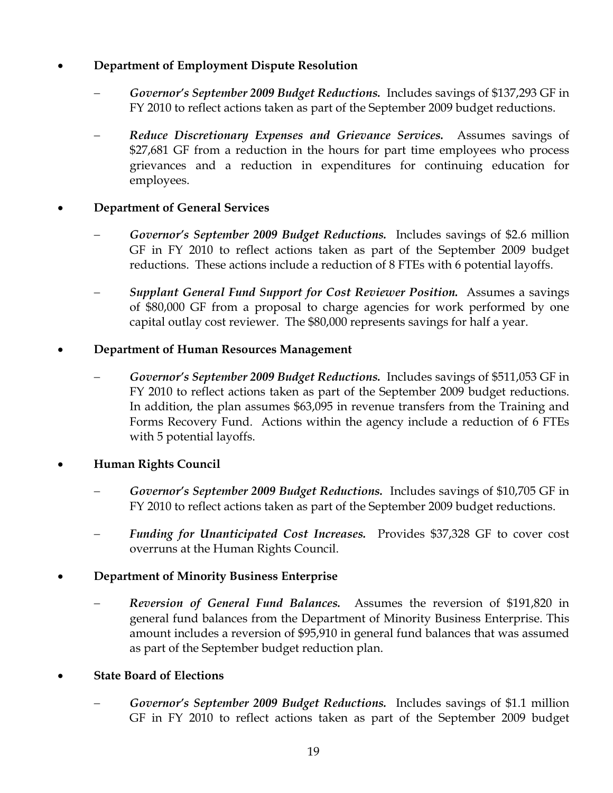## • **Department of Employment Dispute Resolution**

- − *Governor's September 2009 Budget Reductions.* Includes savings of \$137,293 GF in FY 2010 to reflect actions taken as part of the September 2009 budget reductions.
- − *Reduce Discretionary Expenses and Grievance Services.* Assumes savings of \$27,681 GF from a reduction in the hours for part time employees who process grievances and a reduction in expenditures for continuing education for employees.

#### • **Department of General Services**

- − *Governor's September 2009 Budget Reductions.* Includes savings of \$2.6 million GF in FY 2010 to reflect actions taken as part of the September 2009 budget reductions. These actions include a reduction of 8 FTEs with 6 potential layoffs.
- − *Supplant General Fund Support for Cost Reviewer Position.* Assumes a savings of \$80,000 GF from a proposal to charge agencies for work performed by one capital outlay cost reviewer. The \$80,000 represents savings for half a year.

#### • **Department of Human Resources Management**

− *Governor's September 2009 Budget Reductions.* Includes savings of \$511,053 GF in FY 2010 to reflect actions taken as part of the September 2009 budget reductions. In addition, the plan assumes \$63,095 in revenue transfers from the Training and Forms Recovery Fund. Actions within the agency include a reduction of 6 FTEs with 5 potential layoffs.

## • **Human Rights Council**

- − *Governor's September 2009 Budget Reductions.* Includes savings of \$10,705 GF in FY 2010 to reflect actions taken as part of the September 2009 budget reductions.
- Funding for Unanticipated Cost Increases. Provides \$37,328 GF to cover cost overruns at the Human Rights Council.

## • **Department of Minority Business Enterprise**

− *Reversion of General Fund Balances.* Assumes the reversion of \$191,820 in general fund balances from the Department of Minority Business Enterprise. This amount includes a reversion of \$95,910 in general fund balances that was assumed as part of the September budget reduction plan.

#### • **State Board of Elections**

− *Governor's September 2009 Budget Reductions.* Includes savings of \$1.1 million GF in FY 2010 to reflect actions taken as part of the September 2009 budget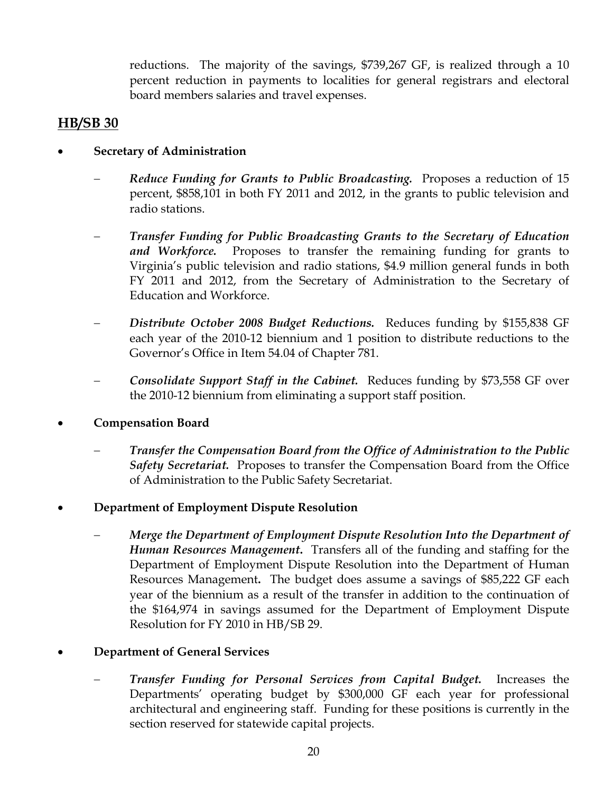reductions. The majority of the savings, \$739,267 GF, is realized through a 10 percent reduction in payments to localities for general registrars and electoral board members salaries and travel expenses.

## **HB/SB 30**

- **Secretary of Administration** 
	- − *Reduce Funding for Grants to Public Broadcasting.* Proposes a reduction of 15 percent, \$858,101 in both FY 2011 and 2012, in the grants to public television and radio stations.
	- − *Transfer Funding for Public Broadcasting Grants to the Secretary of Education and Workforce.* Proposes to transfer the remaining funding for grants to Virginia's public television and radio stations, \$4.9 million general funds in both FY 2011 and 2012, from the Secretary of Administration to the Secretary of Education and Workforce.
	- − *Distribute October 2008 Budget Reductions.* Reduces funding by \$155,838 GF each year of the 2010-12 biennium and 1 position to distribute reductions to the Governor's Office in Item 54.04 of Chapter 781.
	- − *Consolidate Support Staff in the Cabinet.* Reduces funding by \$73,558 GF over the 2010-12 biennium from eliminating a support staff position.
- **Compensation Board** 
	- − *Transfer the Compensation Board from the Office of Administration to the Public Safety Secretariat.* Proposes to transfer the Compensation Board from the Office of Administration to the Public Safety Secretariat.
- **Department of Employment Dispute Resolution**
	- − *Merge the Department of Employment Dispute Resolution Into the Department of Human Resources Management***.** Transfers all of the funding and staffing for the Department of Employment Dispute Resolution into the Department of Human Resources Management**.** The budget does assume a savings of \$85,222 GF each year of the biennium as a result of the transfer in addition to the continuation of the \$164,974 in savings assumed for the Department of Employment Dispute Resolution for FY 2010 in HB/SB 29.
- **Department of General Services**
	- *Transfer Funding for Personal Services from Capital Budget.* Increases the Departments' operating budget by \$300,000 GF each year for professional architectural and engineering staff. Funding for these positions is currently in the section reserved for statewide capital projects.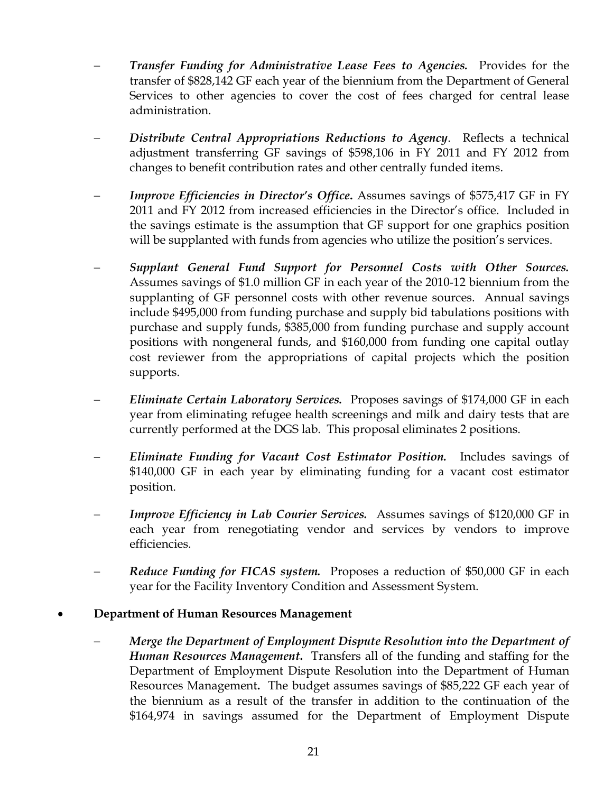- − *Transfer Funding for Administrative Lease Fees to Agencies.* Provides for the transfer of \$828,142 GF each year of the biennium from the Department of General Services to other agencies to cover the cost of fees charged for central lease administration.
- − *Distribute Central Appropriations Reductions to Agency*. Reflects a technical adjustment transferring GF savings of \$598,106 in FY 2011 and FY 2012 from changes to benefit contribution rates and other centrally funded items.
- *Improve Efficiencies in Director's Office*. Assumes savings of \$575,417 GF in FY 2011 and FY 2012 from increased efficiencies in the Director's office. Included in the savings estimate is the assumption that GF support for one graphics position will be supplanted with funds from agencies who utilize the position's services.
- − *Supplant General Fund Support for Personnel Costs with Other Sources.*  Assumes savings of \$1.0 million GF in each year of the 2010-12 biennium from the supplanting of GF personnel costs with other revenue sources. Annual savings include \$495,000 from funding purchase and supply bid tabulations positions with purchase and supply funds, \$385,000 from funding purchase and supply account positions with nongeneral funds, and \$160,000 from funding one capital outlay cost reviewer from the appropriations of capital projects which the position supports.
- − *Eliminate Certain Laboratory Services.* Proposes savings of \$174,000 GF in each year from eliminating refugee health screenings and milk and dairy tests that are currently performed at the DGS lab. This proposal eliminates 2 positions.
- − *Eliminate Funding for Vacant Cost Estimator Position.* Includes savings of \$140,000 GF in each year by eliminating funding for a vacant cost estimator position.
- *Improve Efficiency in Lab Courier Services.* Assumes savings of \$120,000 GF in each year from renegotiating vendor and services by vendors to improve efficiencies.
- *Reduce Funding for FICAS system.* Proposes a reduction of \$50,000 GF in each year for the Facility Inventory Condition and Assessment System.

#### • **Department of Human Resources Management**

− *Merge the Department of Employment Dispute Resolution into the Department of Human Resources Management***.** Transfers all of the funding and staffing for the Department of Employment Dispute Resolution into the Department of Human Resources Management**.** The budget assumes savings of \$85,222 GF each year of the biennium as a result of the transfer in addition to the continuation of the \$164,974 in savings assumed for the Department of Employment Dispute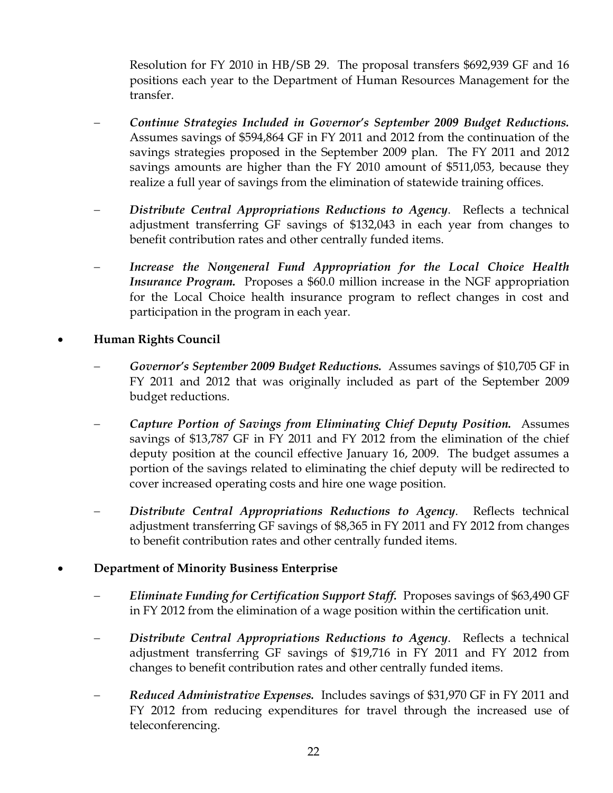Resolution for FY 2010 in HB/SB 29. The proposal transfers \$692,939 GF and 16 positions each year to the Department of Human Resources Management for the transfer.

- − *Continue Strategies Included in Governor's September 2009 Budget Reductions.* Assumes savings of \$594,864 GF in FY 2011 and 2012 from the continuation of the savings strategies proposed in the September 2009 plan. The FY 2011 and 2012 savings amounts are higher than the FY 2010 amount of \$511,053, because they realize a full year of savings from the elimination of statewide training offices.
- − *Distribute Central Appropriations Reductions to Agency*. Reflects a technical adjustment transferring GF savings of \$132,043 in each year from changes to benefit contribution rates and other centrally funded items.
- *Increase the Nongeneral Fund Appropriation for the Local Choice Health Insurance Program.* Proposes a \$60.0 million increase in the NGF appropriation for the Local Choice health insurance program to reflect changes in cost and participation in the program in each year.

#### • **Human Rights Council**

- − *Governor's September 2009 Budget Reductions.* Assumes savings of \$10,705 GF in FY 2011 and 2012 that was originally included as part of the September 2009 budget reductions.
- − *Capture Portion of Savings from Eliminating Chief Deputy Position.* Assumes savings of \$13,787 GF in FY 2011 and FY 2012 from the elimination of the chief deputy position at the council effective January 16, 2009. The budget assumes a portion of the savings related to eliminating the chief deputy will be redirected to cover increased operating costs and hire one wage position.
- Distribute Central Appropriations Reductions to Agency. Reflects technical adjustment transferring GF savings of \$8,365 in FY 2011 and FY 2012 from changes to benefit contribution rates and other centrally funded items.

#### • **Department of Minority Business Enterprise**

- − *Eliminate Funding for Certification Support Staff.* Proposes savings of \$63,490 GF in FY 2012 from the elimination of a wage position within the certification unit.
- Distribute Central Appropriations Reductions to Agency. Reflects a technical adjustment transferring GF savings of \$19,716 in FY 2011 and FY 2012 from changes to benefit contribution rates and other centrally funded items.
- − *Reduced Administrative Expenses.* Includes savings of \$31,970 GF in FY 2011 and FY 2012 from reducing expenditures for travel through the increased use of teleconferencing.